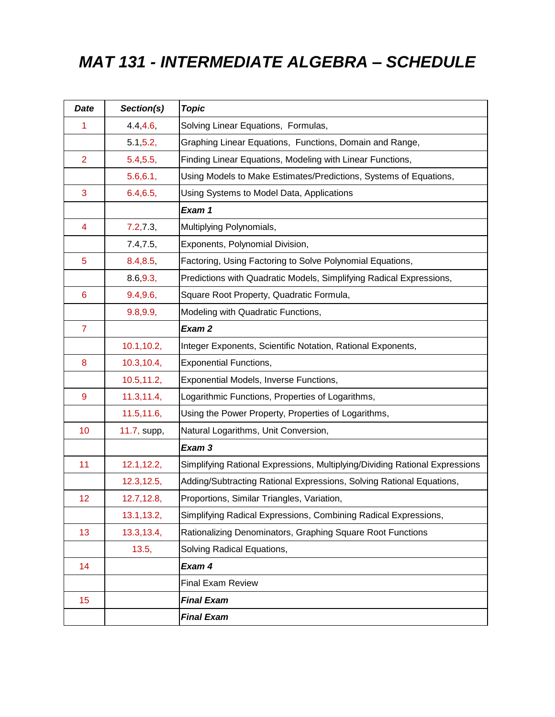# *MAT 131 - INTERMEDIATE ALGEBRA – SCHEDULE*

| <b>Date</b>     | Section(s)  | <b>Topic</b>                                                                |
|-----------------|-------------|-----------------------------------------------------------------------------|
| 1               | 4.4, 4.6,   | Solving Linear Equations, Formulas,                                         |
|                 | 5.1, 5.2,   | Graphing Linear Equations, Functions, Domain and Range,                     |
| $\overline{2}$  | 5.4, 5.5,   | Finding Linear Equations, Modeling with Linear Functions,                   |
|                 | 5.6, 6.1,   | Using Models to Make Estimates/Predictions, Systems of Equations,           |
| 3               | 6.4, 6.5,   | Using Systems to Model Data, Applications                                   |
|                 |             | Exam 1                                                                      |
| 4               | 7.2, 7.3,   | Multiplying Polynomials,                                                    |
|                 | 7.4, 7.5,   | Exponents, Polynomial Division,                                             |
| 5               | 8.4, 8.5,   | Factoring, Using Factoring to Solve Polynomial Equations,                   |
|                 | 8.6, 9.3,   | Predictions with Quadratic Models, Simplifying Radical Expressions,         |
| $6\phantom{1}6$ | 9.4, 9.6,   | Square Root Property, Quadratic Formula,                                    |
|                 | 9.8, 9.9,   | Modeling with Quadratic Functions,                                          |
| $\overline{7}$  |             | Exam 2                                                                      |
|                 | 10.1, 10.2, | Integer Exponents, Scientific Notation, Rational Exponents,                 |
| 8               | 10.3, 10.4, | <b>Exponential Functions,</b>                                               |
|                 | 10.5, 11.2, | Exponential Models, Inverse Functions,                                      |
| 9               | 11.3, 11.4, | Logarithmic Functions, Properties of Logarithms,                            |
|                 | 11.5, 11.6, | Using the Power Property, Properties of Logarithms,                         |
| 10              | 11.7, supp, | Natural Logarithms, Unit Conversion,                                        |
|                 |             | Exam 3                                                                      |
| 11              | 12.1, 12.2, | Simplifying Rational Expressions, Multiplying/Dividing Rational Expressions |
|                 | 12.3, 12.5, | Adding/Subtracting Rational Expressions, Solving Rational Equations,        |
| 12              | 12.7,12.8,  | Proportions, Similar Triangles, Variation,                                  |
|                 | 13.1, 13.2, | Simplifying Radical Expressions, Combining Radical Expressions,             |
| 13              | 13.3,13.4,  | Rationalizing Denominators, Graphing Square Root Functions                  |
|                 | 13.5,       | Solving Radical Equations,                                                  |
| 14              |             | Exam 4                                                                      |
|                 |             | <b>Final Exam Review</b>                                                    |
| 15              |             | <b>Final Exam</b>                                                           |
|                 |             | <b>Final Exam</b>                                                           |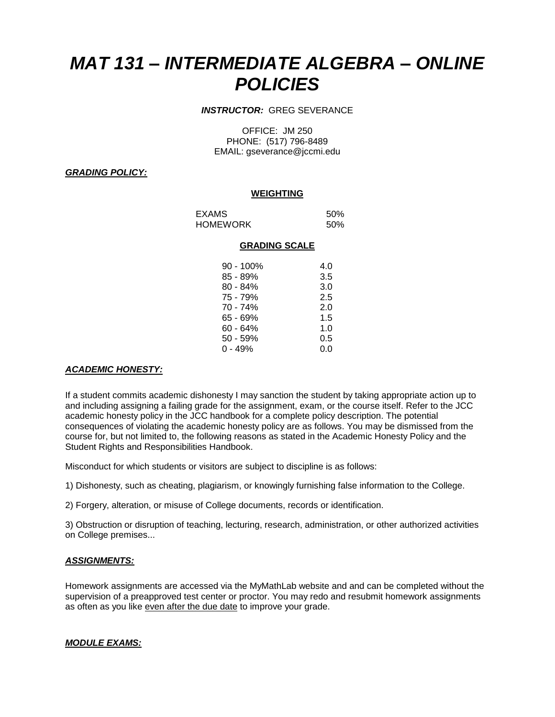# *MAT 131 – INTERMEDIATE ALGEBRA – ONLINE POLICIES*

# *INSTRUCTOR:* GREG SEVERANCE

OFFICE: JM 250 PHONE: (517) 796-8489 EMAIL: gseverance@jccmi.edu

### *GRADING POLICY:*

#### **WEIGHTING**

EXAMS 50% HOMEWORK 50%

#### **GRADING SCALE**

| 90 - 100%  | 4.0 |
|------------|-----|
| 85 - 89%   | 3.5 |
| $80 - 84%$ | 3.0 |
| 75 - 79%   | 2.5 |
| 70 - 74%   | 2.0 |
| 65 - 69%   | 1.5 |
| 60 - 64%   | 1.0 |
| 50 - 59%   | 0.5 |
| $0 - 49%$  | 0.0 |

# *ACADEMIC HONESTY:*

If a student commits academic dishonesty I may sanction the student by taking appropriate action up to and including assigning a failing grade for the assignment, exam, or the course itself. Refer to the JCC academic honesty policy in the JCC handbook for a complete policy description. The potential consequences of violating the academic honesty policy are as follows. You may be dismissed from the course for, but not limited to, the following reasons as stated in the Academic Honesty Policy and the Student Rights and Responsibilities Handbook.

Misconduct for which students or visitors are subject to discipline is as follows:

1) Dishonesty, such as cheating, plagiarism, or knowingly furnishing false information to the College.

2) Forgery, alteration, or misuse of College documents, records or identification.

3) Obstruction or disruption of teaching, lecturing, research, administration, or other authorized activities on College premises...

#### *ASSIGNMENTS:*

Homework assignments are accessed via the MyMathLab website and and can be completed without the supervision of a preapproved test center or proctor. You may redo and resubmit homework assignments as often as you like even after the due date to improve your grade.

# *MODULE EXAMS:*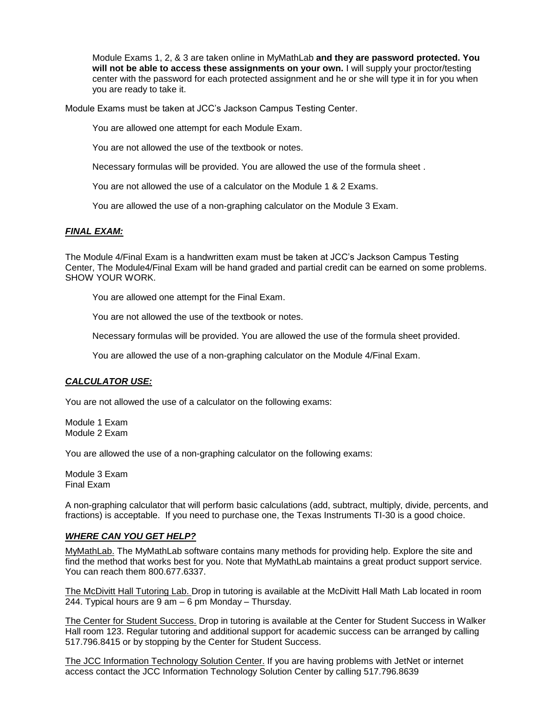Module Exams 1, 2, & 3 are taken online in MyMathLab **and they are password protected. You will not be able to access these assignments on your own.** I will supply your proctor/testing center with the password for each protected assignment and he or she will type it in for you when you are ready to take it.

Module Exams must be taken at JCC's Jackson Campus Testing Center.

You are allowed one attempt for each Module Exam.

You are not allowed the use of the textbook or notes.

Necessary formulas will be provided. You are allowed the use of the formula sheet .

You are not allowed the use of a calculator on the Module 1 & 2 Exams.

You are allowed the use of a non-graphing calculator on the Module 3 Exam.

#### *FINAL EXAM:*

The Module 4/Final Exam is a handwritten exam must be taken at JCC's Jackson Campus Testing Center, The Module4/Final Exam will be hand graded and partial credit can be earned on some problems. SHOW YOUR WORK.

You are allowed one attempt for the Final Exam.

You are not allowed the use of the textbook or notes.

Necessary formulas will be provided. You are allowed the use of the formula sheet provided.

You are allowed the use of a non-graphing calculator on the Module 4/Final Exam.

# *CALCULATOR USE:*

You are not allowed the use of a calculator on the following exams:

Module 1 Exam Module 2 Exam

You are allowed the use of a non-graphing calculator on the following exams:

Module 3 Exam Final Exam

A non-graphing calculator that will perform basic calculations (add, subtract, multiply, divide, percents, and fractions) is acceptable. If you need to purchase one, the Texas Instruments TI-30 is a good choice.

#### *WHERE CAN YOU GET HELP?*

MyMathLab. The MyMathLab software contains many methods for providing help. Explore the site and find the method that works best for you. Note that MyMathLab maintains a great product support service. You can reach them 800.677.6337.

The McDivitt Hall Tutoring Lab. Drop in tutoring is available at the McDivitt Hall Math Lab located in room 244. Typical hours are 9 am – 6 pm Monday – Thursday.

The Center for Student Success. Drop in tutoring is available at the Center for Student Success in Walker Hall room 123. Regular tutoring and additional support for academic success can be arranged by calling 517.796.8415 or by stopping by the Center for Student Success.

The JCC Information Technology Solution Center. If you are having problems with JetNet or internet access contact the JCC Information Technology Solution Center by calling 517.796.8639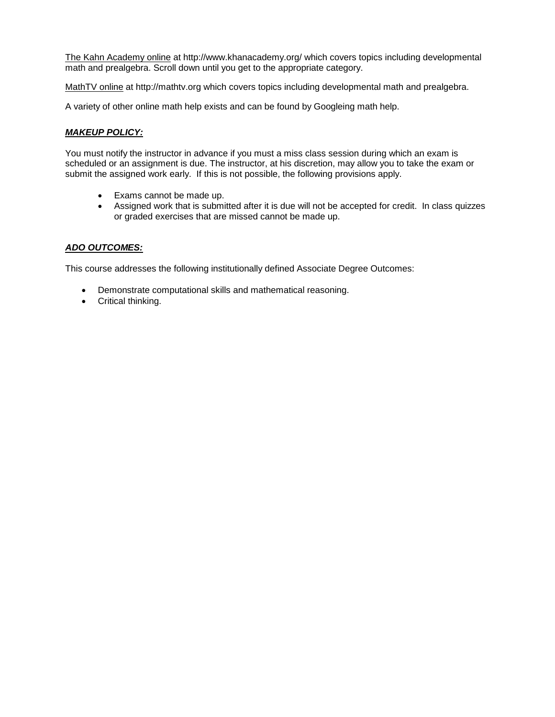The Kahn Academy online at http://www.khanacademy.org/ which covers topics including developmental math and prealgebra. Scroll down until you get to the appropriate category.

MathTV online at http://mathtv.org which covers topics including developmental math and prealgebra.

A variety of other online math help exists and can be found by Googleing math help.

# *MAKEUP POLICY:*

You must notify the instructor in advance if you must a miss class session during which an exam is scheduled or an assignment is due. The instructor, at his discretion, may allow you to take the exam or submit the assigned work early. If this is not possible, the following provisions apply.

- Exams cannot be made up.
- Assigned work that is submitted after it is due will not be accepted for credit. In class quizzes or graded exercises that are missed cannot be made up.

# *ADO OUTCOMES:*

This course addresses the following institutionally defined Associate Degree Outcomes:

- Demonstrate computational skills and mathematical reasoning.
- Critical thinking.